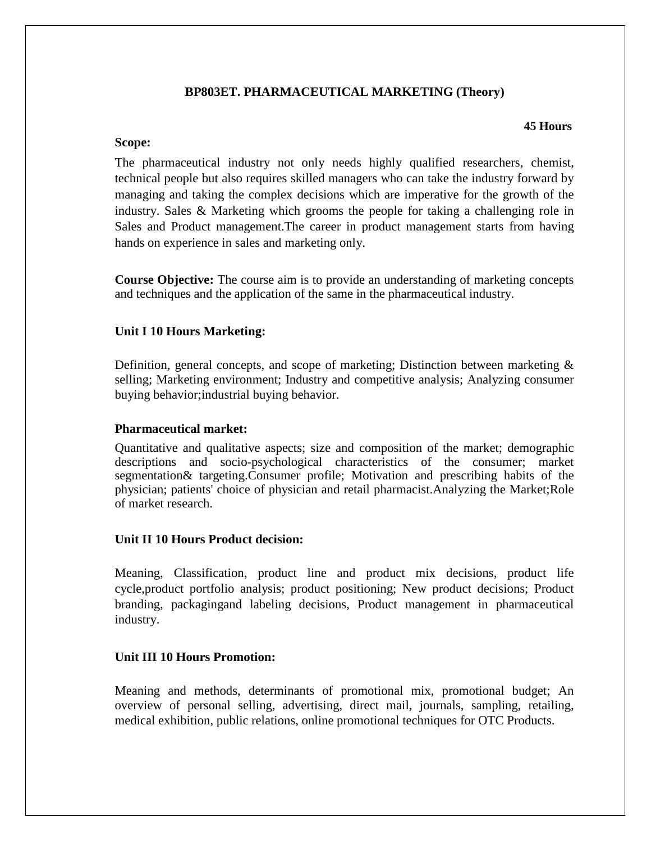# **BP803ET. PHARMACEUTICAL MARKETING (Theory)**

### **45 Hours**

## **Scope:**

The pharmaceutical industry not only needs highly qualified researchers, chemist, technical people but also requires skilled managers who can take the industry forward by managing and taking the complex decisions which are imperative for the growth of the industry. Sales & Marketing which grooms the people for taking a challenging role in Sales and Product management.The career in product management starts from having hands on experience in sales and marketing only.

**Course Objective:** The course aim is to provide an understanding of marketing concepts and techniques and the application of the same in the pharmaceutical industry.

# **Unit I 10 Hours Marketing:**

Definition, general concepts, and scope of marketing; Distinction between marketing  $\&$ selling; Marketing environment; Industry and competitive analysis; Analyzing consumer buying behavior;industrial buying behavior.

## **Pharmaceutical market:**

Quantitative and qualitative aspects; size and composition of the market; demographic descriptions and socio-psychological characteristics of the consumer; market segmentation& targeting.Consumer profile; Motivation and prescribing habits of the physician; patients' choice of physician and retail pharmacist.Analyzing the Market;Role of market research.

## **Unit II 10 Hours Product decision:**

Meaning, Classification, product line and product mix decisions, product life cycle,product portfolio analysis; product positioning; New product decisions; Product branding, packagingand labeling decisions, Product management in pharmaceutical industry.

# **Unit III 10 Hours Promotion:**

Meaning and methods, determinants of promotional mix, promotional budget; An overview of personal selling, advertising, direct mail, journals, sampling, retailing, medical exhibition, public relations, online promotional techniques for OTC Products.